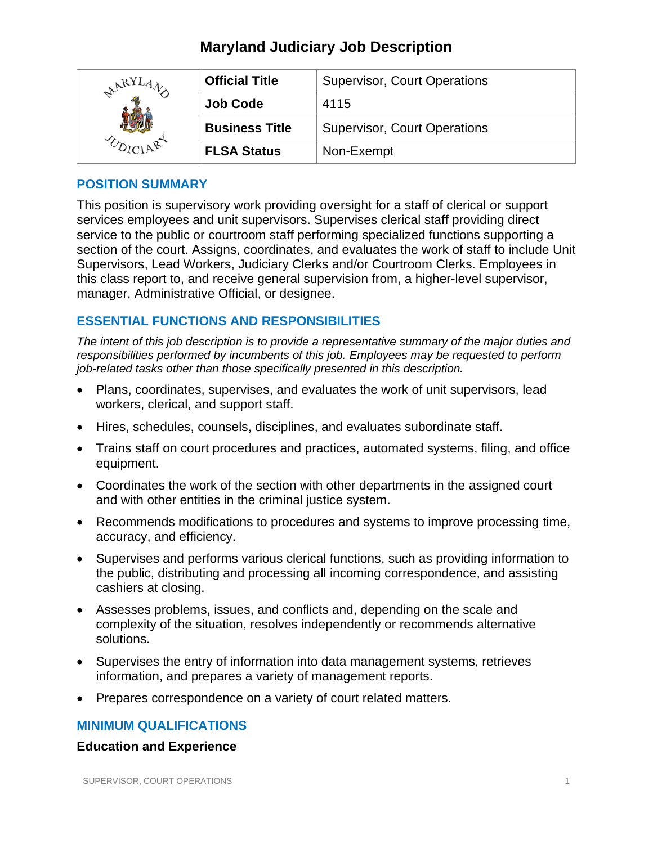| ARY! | <b>Official Title</b> | <b>Supervisor, Court Operations</b> |
|------|-----------------------|-------------------------------------|
|      | <b>Job Code</b>       | 4115                                |
|      | <b>Business Title</b> | <b>Supervisor, Court Operations</b> |
|      | <b>FLSA Status</b>    | Non-Exempt                          |

#### **POSITION SUMMARY**

This position is supervisory work providing oversight for a staff of clerical or support services employees and unit supervisors. Supervises clerical staff providing direct service to the public or courtroom staff performing specialized functions supporting a section of the court. Assigns, coordinates, and evaluates the work of staff to include Unit Supervisors, Lead Workers, Judiciary Clerks and/or Courtroom Clerks. Employees in this class report to, and receive general supervision from, a higher-level supervisor, manager, Administrative Official, or designee.

## **ESSENTIAL FUNCTIONS AND RESPONSIBILITIES**

*The intent of this job description is to provide a representative summary of the major duties and responsibilities performed by incumbents of this job. Employees may be requested to perform job-related tasks other than those specifically presented in this description.*

- Plans, coordinates, supervises, and evaluates the work of unit supervisors, lead workers, clerical, and support staff.
- Hires, schedules, counsels, disciplines, and evaluates subordinate staff.
- Trains staff on court procedures and practices, automated systems, filing, and office equipment.
- Coordinates the work of the section with other departments in the assigned court and with other entities in the criminal justice system.
- Recommends modifications to procedures and systems to improve processing time, accuracy, and efficiency.
- Supervises and performs various clerical functions, such as providing information to the public, distributing and processing all incoming correspondence, and assisting cashiers at closing.
- Assesses problems, issues, and conflicts and, depending on the scale and complexity of the situation, resolves independently or recommends alternative solutions.
- Supervises the entry of information into data management systems, retrieves information, and prepares a variety of management reports.
- Prepares correspondence on a variety of court related matters.

## **MINIMUM QUALIFICATIONS**

#### **Education and Experience**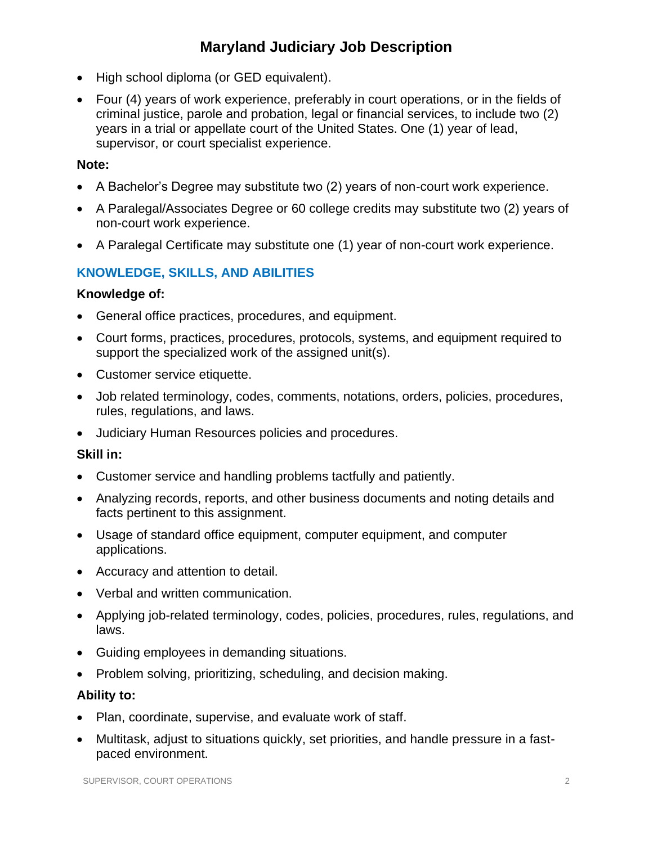- High school diploma (or GED equivalent).
- Four (4) years of work experience, preferably in court operations, or in the fields of criminal justice, parole and probation, legal or financial services, to include two (2) years in a trial or appellate court of the United States. One (1) year of lead, supervisor, or court specialist experience.

#### **Note:**

- A Bachelor's Degree may substitute two (2) years of non-court work experience.
- A Paralegal/Associates Degree or 60 college credits may substitute two (2) years of non-court work experience.
- A Paralegal Certificate may substitute one (1) year of non-court work experience.

## **KNOWLEDGE, SKILLS, AND ABILITIES**

#### **Knowledge of:**

- General office practices, procedures, and equipment.
- Court forms, practices, procedures, protocols, systems, and equipment required to support the specialized work of the assigned unit(s).
- Customer service etiquette.
- Job related terminology, codes, comments, notations, orders, policies, procedures, rules, regulations, and laws.
- Judiciary Human Resources policies and procedures.

#### **Skill in:**

- Customer service and handling problems tactfully and patiently.
- Analyzing records, reports, and other business documents and noting details and facts pertinent to this assignment.
- Usage of standard office equipment, computer equipment, and computer applications.
- Accuracy and attention to detail.
- Verbal and written communication.
- Applying job-related terminology, codes, policies, procedures, rules, regulations, and laws.
- Guiding employees in demanding situations.
- Problem solving, prioritizing, scheduling, and decision making.

## **Ability to:**

- Plan, coordinate, supervise, and evaluate work of staff.
- Multitask, adjust to situations quickly, set priorities, and handle pressure in a fastpaced environment.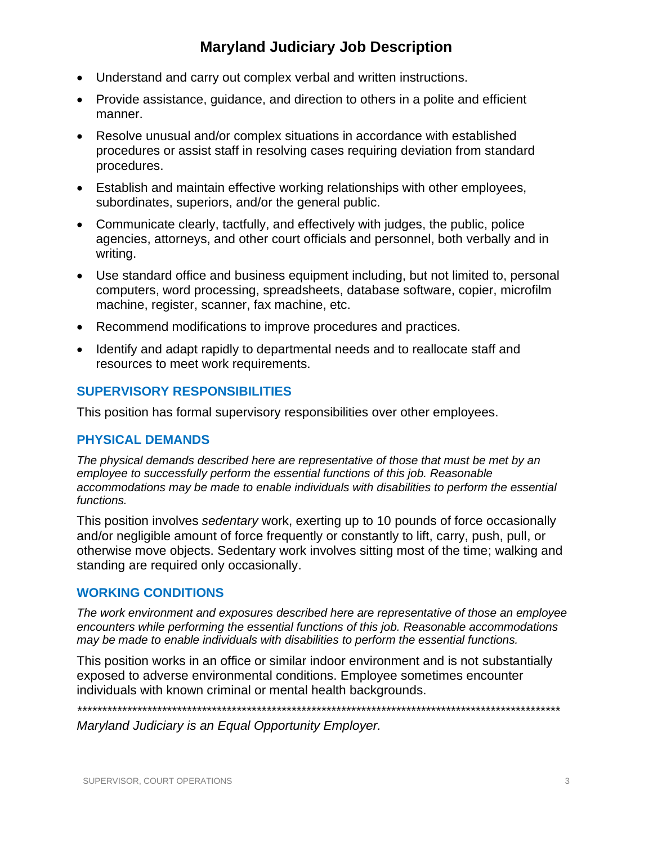- Understand and carry out complex verbal and written instructions.
- Provide assistance, guidance, and direction to others in a polite and efficient manner.
- Resolve unusual and/or complex situations in accordance with established procedures or assist staff in resolving cases requiring deviation from standard procedures.
- Establish and maintain effective working relationships with other employees, subordinates, superiors, and/or the general public.
- Communicate clearly, tactfully, and effectively with judges, the public, police agencies, attorneys, and other court officials and personnel, both verbally and in writing.
- Use standard office and business equipment including, but not limited to, personal computers, word processing, spreadsheets, database software, copier, microfilm machine, register, scanner, fax machine, etc.
- Recommend modifications to improve procedures and practices.
- Identify and adapt rapidly to departmental needs and to reallocate staff and resources to meet work requirements.

#### **SUPERVISORY RESPONSIBILITIES**

This position has formal supervisory responsibilities over other employees.

#### **PHYSICAL DEMANDS**

*The physical demands described here are representative of those that must be met by an employee to successfully perform the essential functions of this job. Reasonable accommodations may be made to enable individuals with disabilities to perform the essential functions.*

This position involves *sedentary* work, exerting up to 10 pounds of force occasionally and/or negligible amount of force frequently or constantly to lift, carry, push, pull, or otherwise move objects. Sedentary work involves sitting most of the time; walking and standing are required only occasionally.

#### **WORKING CONDITIONS**

*The work environment and exposures described here are representative of those an employee encounters while performing the essential functions of this job. Reasonable accommodations may be made to enable individuals with disabilities to perform the essential functions.*

This position works in an office or similar indoor environment and is not substantially exposed to adverse environmental conditions. Employee sometimes encounter individuals with known criminal or mental health backgrounds.

*\*\*\*\*\*\*\*\*\*\*\*\*\*\*\*\*\*\*\*\*\*\*\*\*\*\*\*\*\*\*\*\*\*\*\*\*\*\*\*\*\*\*\*\*\*\*\*\*\*\*\*\*\*\*\*\*\*\*\*\*\*\*\*\*\*\*\*\*\*\*\*\*\*\*\*\*\*\*\*\*\*\*\*\*\*\*\*\*\*\*\*\*\*\*\*\*\**

*Maryland Judiciary is an Equal Opportunity Employer.*